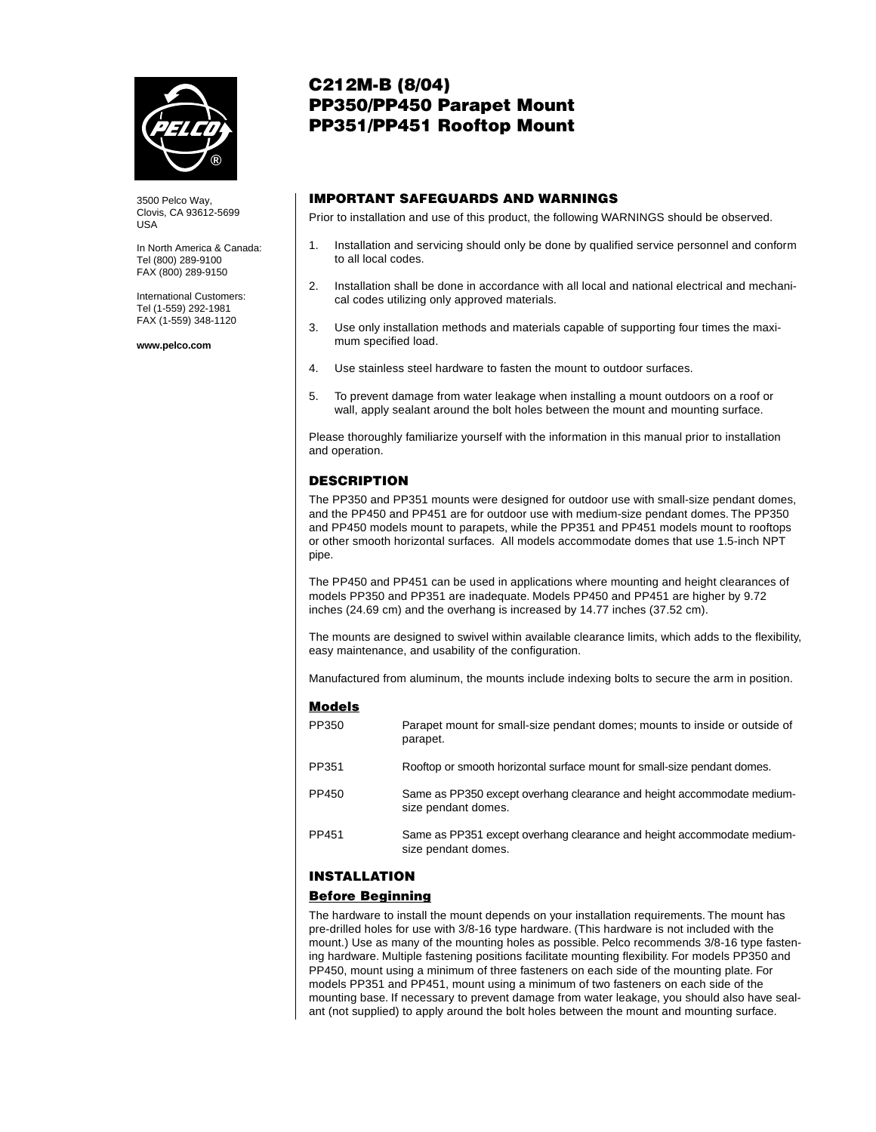

3500 Pelco Way, Clovis, CA 93612-5699 USA

In North America & Canada: Tel (800) 289-9100 FAX (800) 289-9150

International Customers: Tel (1-559) 292-1981 FAX (1-559) 348-1120

**www.pelco.com**

# **C212M-B (8/04) PP350/PP450 Parapet Mount PP351/PP451 Rooftop Mount**

## **IMPORTANT SAFEGUARDS AND WARNINGS**

Prior to installation and use of this product, the following WARNINGS should be observed.

- 1. Installation and servicing should only be done by qualified service personnel and conform to all local codes.
- 2. Installation shall be done in accordance with all local and national electrical and mechanical codes utilizing only approved materials.
- 3. Use only installation methods and materials capable of supporting four times the maximum specified load.
- 4. Use stainless steel hardware to fasten the mount to outdoor surfaces.
- 5. To prevent damage from water leakage when installing a mount outdoors on a roof or wall, apply sealant around the bolt holes between the mount and mounting surface.

Please thoroughly familiarize yourself with the information in this manual prior to installation and operation.

### **DESCRIPTION**

The PP350 and PP351 mounts were designed for outdoor use with small-size pendant domes, and the PP450 and PP451 are for outdoor use with medium-size pendant domes. The PP350 and PP450 models mount to parapets, while the PP351 and PP451 models mount to rooftops or other smooth horizontal surfaces. All models accommodate domes that use 1.5-inch NPT pipe.

The PP450 and PP451 can be used in applications where mounting and height clearances of models PP350 and PP351 are inadequate. Models PP450 and PP451 are higher by 9.72 inches (24.69 cm) and the overhang is increased by 14.77 inches (37.52 cm).

The mounts are designed to swivel within available clearance limits, which adds to the flexibility, easy maintenance, and usability of the configuration.

Manufactured from aluminum, the mounts include indexing bolts to secure the arm in position.

#### **Models**

| PP350 | Parapet mount for small-size pendant domes; mounts to inside or outside of<br>parapet.        |
|-------|-----------------------------------------------------------------------------------------------|
| PP351 | Rooftop or smooth horizontal surface mount for small-size pendant domes.                      |
| PP450 | Same as PP350 except overhang clearance and height accommodate medium-<br>size pendant domes. |
| PP451 | Same as PP351 except overhang clearance and height accommodate medium-<br>size pendant domes. |

### **INSTALLATION**

### **Before Beginning**

The hardware to install the mount depends on your installation requirements. The mount has pre-drilled holes for use with 3/8-16 type hardware. (This hardware is not included with the mount.) Use as many of the mounting holes as possible. Pelco recommends 3/8-16 type fastening hardware. Multiple fastening positions facilitate mounting flexibility. For models PP350 and PP450, mount using a minimum of three fasteners on each side of the mounting plate. For models PP351 and PP451, mount using a minimum of two fasteners on each side of the mounting base. If necessary to prevent damage from water leakage, you should also have sealant (not supplied) to apply around the bolt holes between the mount and mounting surface.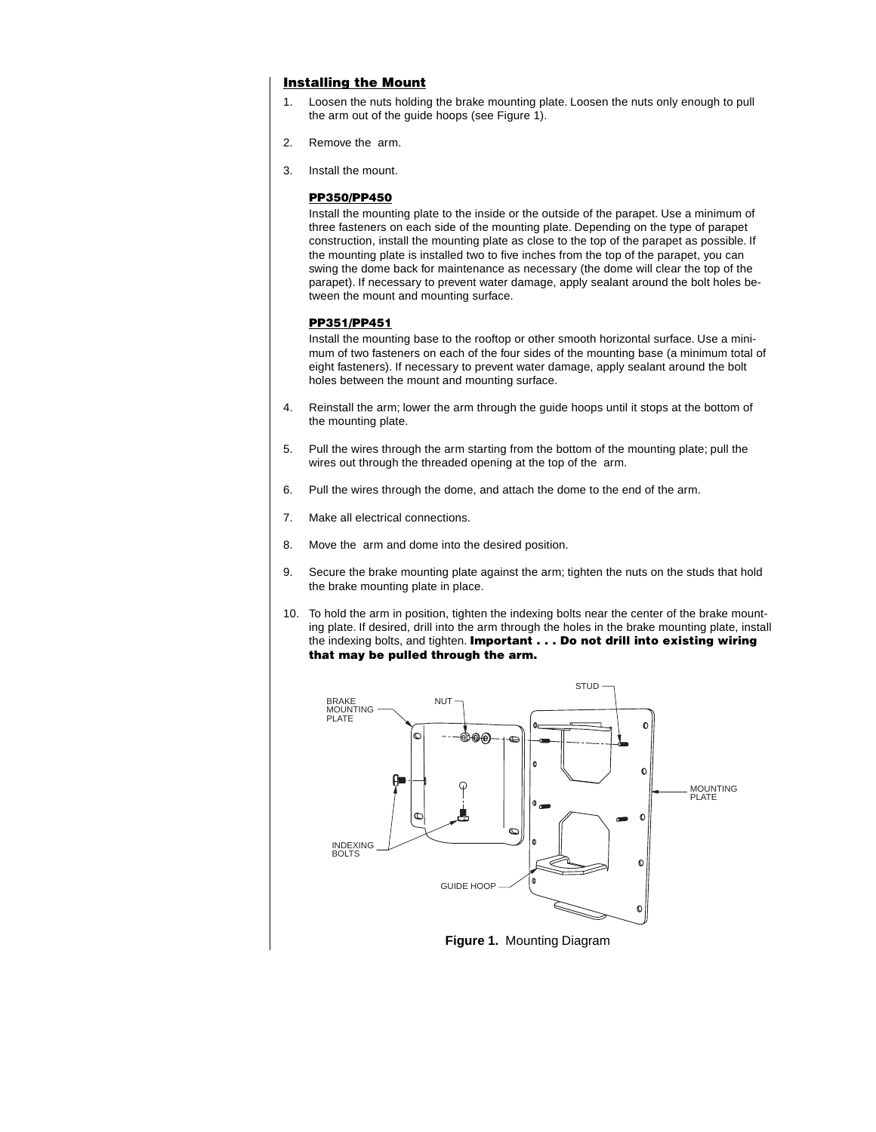#### **Installing the Mount**

- 1. Loosen the nuts holding the brake mounting plate. Loosen the nuts only enough to pull the arm out of the guide hoops (see Figure 1).
- 2. Remove the arm.
- 3. Install the mount.

#### **PP350/PP450**

Install the mounting plate to the inside or the outside of the parapet. Use a minimum of three fasteners on each side of the mounting plate. Depending on the type of parapet construction, install the mounting plate as close to the top of the parapet as possible. If the mounting plate is installed two to five inches from the top of the parapet, you can swing the dome back for maintenance as necessary (the dome will clear the top of the parapet). If necessary to prevent water damage, apply sealant around the bolt holes between the mount and mounting surface.

#### **PP351/PP451**

Install the mounting base to the rooftop or other smooth horizontal surface. Use a minimum of two fasteners on each of the four sides of the mounting base (a minimum total of eight fasteners). If necessary to prevent water damage, apply sealant around the bolt holes between the mount and mounting surface.

- 4. Reinstall the arm; lower the arm through the guide hoops until it stops at the bottom of the mounting plate.
- 5. Pull the wires through the arm starting from the bottom of the mounting plate; pull the wires out through the threaded opening at the top of the arm.
- 6. Pull the wires through the dome, and attach the dome to the end of the arm.
- 7. Make all electrical connections.
- 8. Move the arm and dome into the desired position.
- 9. Secure the brake mounting plate against the arm; tighten the nuts on the studs that hold the brake mounting plate in place.
- 10. To hold the arm in position, tighten the indexing bolts near the center of the brake mounting plate. If desired, drill into the arm through the holes in the brake mounting plate, install the indexing bolts, and tighten. **Important . . . Do not drill into existing wiring that may be pulled through the arm.**



**Figure 1.** Mounting Diagram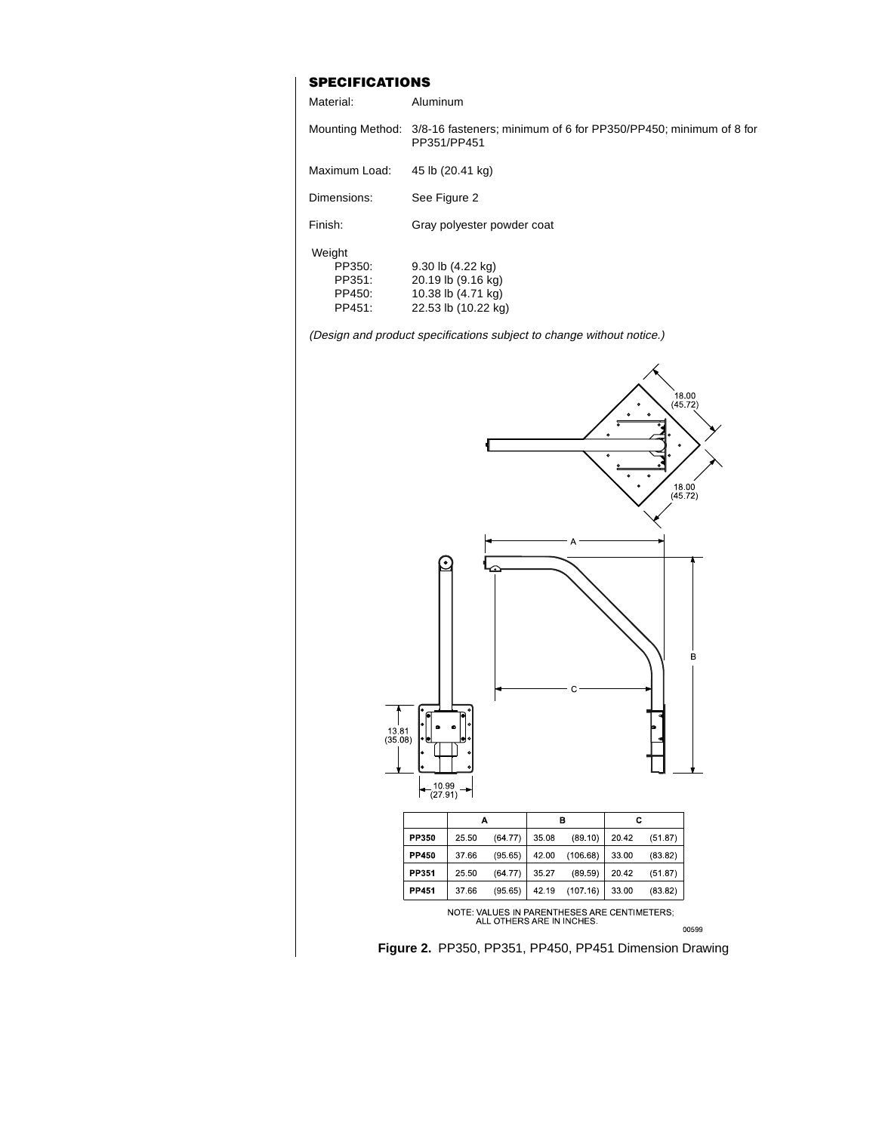### **SPECIFICATIONS**

| Material:                                      | Aluminum                                                                                         |
|------------------------------------------------|--------------------------------------------------------------------------------------------------|
|                                                | Mounting Method: 3/8-16 fasteners; minimum of 6 for PP350/PP450; minimum of 8 for<br>PP351/PP451 |
| Maximum Load:                                  | 45 lb (20.41 kg)                                                                                 |
| Dimensions:                                    | See Figure 2                                                                                     |
| Finish:                                        | Gray polyester powder coat                                                                       |
| Weight<br>PP350:<br>PP351:<br>PP450:<br>PP451: | 9.30 lb (4.22 kg)<br>20.19 lb (9.16 kg)<br>10.38 lb (4.71 kg)<br>22.53 lb (10.22 kg)             |

(Design and product specifications subject to change without notice.)